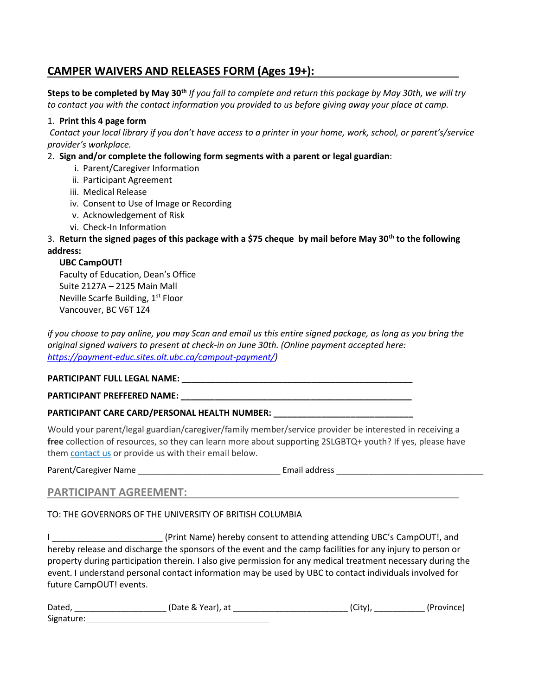## **CAMPER WAIVERS AND RELEASES FORM (Ages 19+):**

**Steps to be completed by May 30th** *If you fail to complete and return this package by May 30th, we will try to contact you with the contact information you provided to us before giving away your place at camp.*

#### 1. **Print this 4 page form**

*Contact your local library if you don't have access to a printer in your home, work, school, or parent's/service provider's workplace.*

#### 2. **Sign and/or complete the following form segments with a parent or legal guardian**:

- i. Parent/Caregiver Information
- ii. Participant Agreement
- iii. Medical Release
- iv. Consent to Use of Image or Recording
- v. Acknowledgement of Risk
- vi. Check-In Information

### 3. **Return the signed pages of this package with a \$75 cheque by mail before May 30th to the following address:**

#### **UBC CampOUT!**

Faculty of Education, Dean's Office Suite 2127A – 2125 Main Mall Neville Scarfe Building,  $1<sup>st</sup>$  Floor Vancouver, BC V6T 1Z4

*if you choose to pay online, you may Scan and email us this entire signed package, as long as you bring the original signed waivers to present at check-in on June 30th. (Online payment accepted here: [https://payment-educ.sites.olt.ubc.ca/campout-payment/\)](https://payment-educ.sites.olt.ubc.ca/campout-payment/)*

#### **PARTICIPANT FULL LEGAL NAME: \_\_\_\_\_\_\_\_\_\_\_\_\_\_\_\_\_\_\_\_\_\_\_\_\_\_\_\_\_\_\_\_\_\_\_\_\_\_\_\_\_\_\_\_\_\_\_\_**

#### **PARTICIPANT PREFFERED NAME: \_\_\_\_\_\_\_\_\_\_\_\_\_\_\_\_\_\_\_\_\_\_\_\_\_\_\_\_\_\_\_\_\_\_\_\_\_\_\_\_\_\_\_\_\_\_\_\_**

#### **PARTICIPANT CARE CARD/PERSONAL HEALTH NUMBER: \_\_\_\_\_\_\_\_\_\_\_\_\_\_\_\_\_\_\_\_\_\_\_\_\_\_\_\_\_**

Would your parent/legal guardian/caregiver/family member/service provider be interested in receiving a free collection of resources, so they can learn more about supporting 2SLGBTQ+ youth? If yes, please have them [contact us](http://campout.ubc.ca/contact-us/) or provide us with their email below.

Parent/Caregiver Name \_\_\_\_\_\_\_\_\_\_\_\_\_\_\_\_\_\_\_\_\_\_\_\_\_\_\_\_\_\_\_ Email address \_\_\_\_\_\_\_\_\_\_\_\_\_\_\_\_\_\_\_\_\_\_\_\_\_\_\_\_\_\_\_\_

#### **PARTICIPANT AGREEMENT:**

#### TO: THE GOVERNORS OF THE UNIVERSITY OF BRITISH COLUMBIA

I \_\_\_\_\_\_\_\_\_\_\_\_\_\_\_\_\_\_\_\_\_\_\_ (Print Name) hereby consent to attending attending UBC's CampOUT!, and hereby release and discharge the sponsors of the event and the camp facilities for any injury to person or property during participation therein. I also give permission for any medical treatment necessary during the event. I understand personal contact information may be used by UBC to contact individuals involved for future CampOUT! events.

| Dated,     | (Date & Year), at | (City) | (Province) |
|------------|-------------------|--------|------------|
| Signature: |                   |        |            |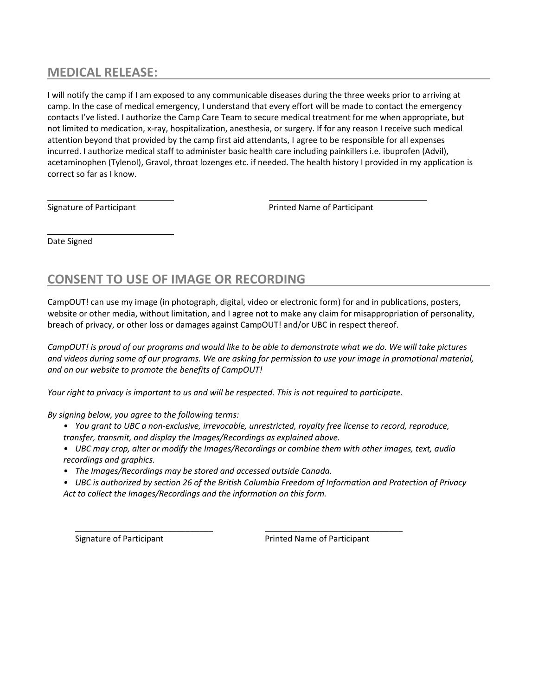## **MEDICAL RELEASE:**

I will notify the camp if I am exposed to any communicable diseases during the three weeks prior to arriving at camp. In the case of medical emergency, I understand that every effort will be made to contact the emergency contacts I've listed. I authorize the Camp Care Team to secure medical treatment for me when appropriate, but not limited to medication, x-ray, hospitalization, anesthesia, or surgery. If for any reason I receive such medical attention beyond that provided by the camp first aid attendants, I agree to be responsible for all expenses incurred. I authorize medical staff to administer basic health care including painkillers i.e. ibuprofen (Advil), acetaminophen (Tylenol), Gravol, throat lozenges etc. if needed. The health history I provided in my application is correct so far as I know.

Signature of Participant **Printed Name of Participant** Printed Name of Participant

Date Signed

# **CONSENT TO USE OF IMAGE OR RECORDING**

CampOUT! can use my image (in photograph, digital, video or electronic form) for and in publications, posters, website or other media, without limitation, and I agree not to make any claim for misappropriation of personality, breach of privacy, or other loss or damages against CampOUT! and/or UBC in respect thereof.

*CampOUT! is proud of our programs and would like to be able to demonstrate what we do. We will take pictures and videos during some of our programs. We are asking for permission to use your image in promotional material, and on our website to promote the benefits of CampOUT!*

*Your right to privacy is important to us and will be respected. This is not required to participate.* 

*By signing below, you agree to the following terms:*

- *• You grant to UBC a non-exclusive, irrevocable, unrestricted, royalty free license to record, reproduce, transfer, transmit, and display the Images/Recordings as explained above.*
- *• UBC may crop, alter or modify the Images/Recordings or combine them with other images, text, audio recordings and graphics.*
- *• The Images/Recordings may be stored and accessed outside Canada.*
- *• UBC is authorized by section 26 of the British Columbia Freedom of Information and Protection of Privacy Act to collect the Images/Recordings and the information on this form.*

\_\_\_\_\_\_\_\_\_\_\_\_\_\_\_\_\_\_\_\_\_\_\_\_\_\_\_\_\_\_ \_\_\_\_\_\_\_\_\_\_\_\_\_\_\_\_\_\_\_\_\_\_\_\_\_\_\_\_\_\_

Signature of Participant **Printed Name of Participant**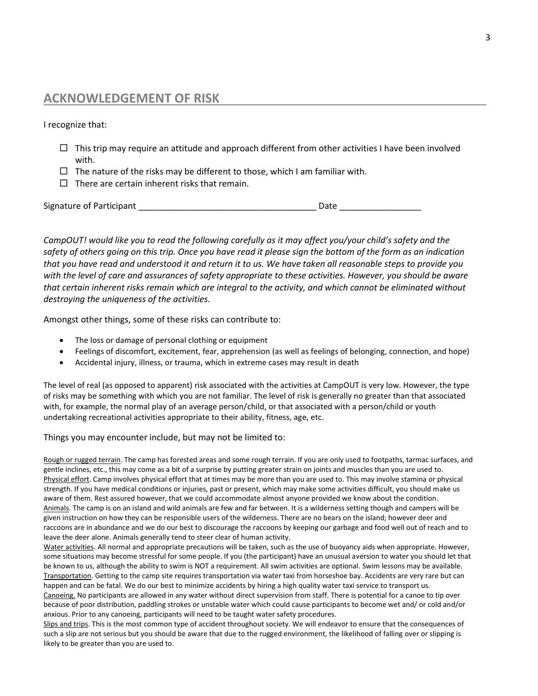## **ACKNOWLEDGEMENT OF RISK**

I recognize that:

- $\Box$  This trip may require an attitude and approach different from other activities I have been involved with.
- $\Box$  The nature of the risks may be different to those, which I am familiar with.
- $\Box$  There are certain inherent risks that remain.

Signature of Participant \_\_\_\_\_\_\_\_\_\_\_\_\_\_\_\_\_\_\_\_\_\_\_\_\_\_\_\_\_\_\_\_\_\_\_\_\_ Date \_\_\_\_\_\_\_\_\_\_\_\_\_\_\_\_\_

*CampOUT! would like you to read the following carefully as it may affect you/your child's safety and the safety of others going on this trip. Once you have read it please sign the bottom of the form as an indication that you have read and understood it and return it to us. We have taken all reasonable steps to provide you with the level of care and assurances of safety appropriate to these activities. However, you should be aware that certain inherent risks remain which are integral to the activity, and which cannot be eliminated without destroying the uniqueness of the activities.* 

Amongst other things, some of these risks can contribute to:

- The loss or damage of personal clothing or equipment
- Feelings of discomfort, excitement, fear, apprehension (as well as feelings of belonging, connection, and hope)
- Accidental injury, illness, or trauma, which in extreme cases may result in death

The level of real (as opposed to apparent) risk associated with the activities at CampOUT is very low. However, the type of risks may be something with which you are not familiar. The level of risk is generally no greater than that associated with, for example, the normal play of an average person/child, or that associated with a person/child or youth undertaking recreational activities appropriate to their ability, fitness, age, etc.

Things you may encounter include, but may not be limited to:

Rough or rugged terrain. The camp has forested areas and some rough terrain. If you are only used to footpaths, tarmac surfaces, and gentle inclines, etc., this may come as a bit of a surprise by putting greater strain on joints and muscles than you are used to. Physical effort. Camp involves physical effort that at times may be more than you are used to. This may involve stamina or physical strength. If you have medical conditions or injuries, past or present, which may make some activities difficult, you should make us aware of them. Rest assured however, that we could accommodate almost anyone provided we know about the condition. Animals. The camp is on an island and wild animals are few and far between. It is a wilderness setting though and campers will be given instruction on how they can be responsible users of the wilderness. There are no bears on the island; however deer and raccoons are in abundance and we do our best to discourage the raccoons by keeping our garbage and food well out of reach and to leave the deer alone. Animals generally tend to steer clear of human activity.

Water activities. All normal and appropriate precautions will be taken, such as the use of buoyancy aids when appropriate. However, some situations may become stressful for some people. If you (the participant) have an unusual aversion to water you should let that be known to us, although the ability to swim is NOT a requirement. All swim activities are optional. Swim lessons may be available. Transportation. Getting to the camp site requires transportation via water taxi from horseshoe bay. Accidents are very rare but can happen and can be fatal. We do our best to minimize accidents by hiring a high quality water taxi service to transport us.

Canoeing. No participants are allowed in any water without direct supervision from staff. There is potential for a canoe to tip over because of poor distribution, paddling strokes or unstable water which could cause participants to become wet and/ or cold and/or anxious. Prior to any canoeing, participants will need to be taught water safety procedures.

Slips and trips. This is the most common type of accident throughout society. We will endeavor to ensure that the consequences of such a slip are not serious but you should be aware that due to the rugged environment, the likelihood of falling over or slipping is likely to be greater than you are used to.